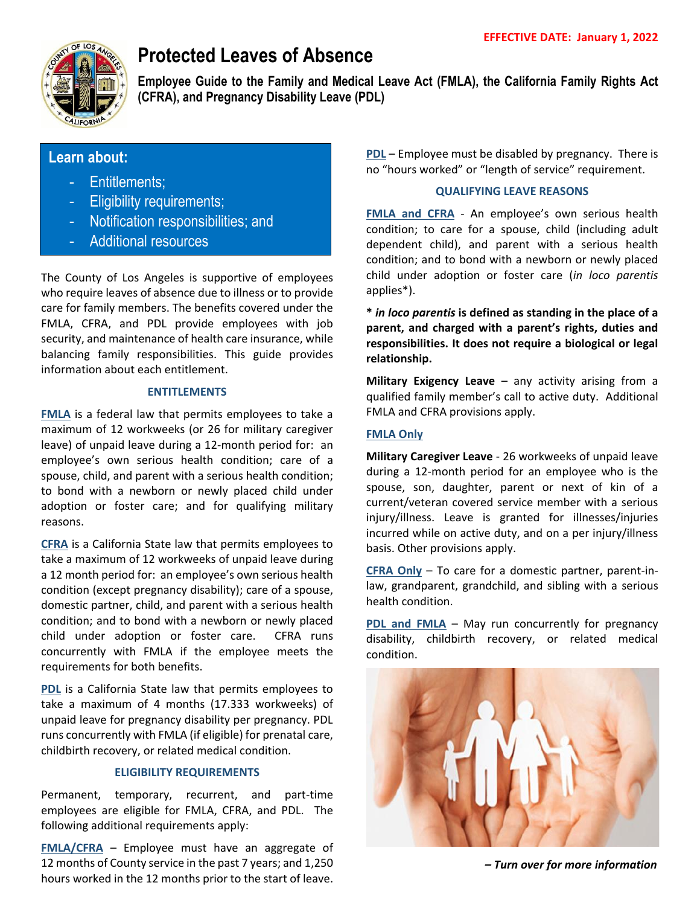

# **Protected Leaves of Absence**

**Employee Guide to the Family and Medical Leave Act (FMLA), the California Family Rights Act (CFRA), and Pregnancy Disability Leave (PDL)**

# **Learn about:**

- Entitlements;
- Eligibility requirements;
- Notification responsibilities; and
- Additional resources

The County of Los Angeles is supportive of employees who require leaves of absence due to illness or to provide care for family members. The benefits covered under the FMLA, CFRA, and PDL provide employees with job security, and maintenance of health care insurance, while balancing family responsibilities. This guide provides information about each entitlement.

## **ENTITLEMENTS**

**FMLA** is a federal law that permits employees to take a maximum of 12 workweeks (or 26 for military caregiver leave) of unpaid leave during a 12-month period for: an employee's own serious health condition; care of a spouse, child, and parent with a serious health condition; to bond with a newborn or newly placed child under adoption or foster care; and for qualifying military reasons.

**CFRA** is a California State law that permits employees to take a maximum of 12 workweeks of unpaid leave during a 12 month period for: an employee's own serious health condition (except pregnancy disability); care of a spouse, domestic partner, child, and parent with a serious health condition; and to bond with a newborn or newly placed child under adoption or foster care. CFRA runs concurrently with FMLA if the employee meets the requirements for both benefits.

**PDL** is a California State law that permits employees to take a maximum of 4 months (17.333 workweeks) of unpaid leave for pregnancy disability per pregnancy. PDL runs concurrently with FMLA (if eligible) for prenatal care, childbirth recovery, or related medical condition.

# **ELIGIBILITY REQUIREMENTS**

Permanent, temporary, recurrent, and part-time employees are eligible for FMLA, CFRA, and PDL. The following additional requirements apply:

**FMLA/CFRA** – Employee must have an aggregate of 12 months of County service in the past 7 years; and 1,250 hours worked in the 12 months prior to the start of leave.

**PDL** – Employee must be disabled by pregnancy. There is no "hours worked" or "length of service" requirement.

## **QUALIFYING LEAVE REASONS**

**FMLA and CFRA** - An employee's own serious health condition; to care for a spouse, child (including adult dependent child), and parent with a serious health condition; and to bond with a newborn or newly placed child under adoption or foster care (*in loco parentis* applies\*).

**\*** *in loco parentis* **is defined as standing in the place of a parent, and charged with a parent's rights, duties and responsibilities. It does not require a biological or legal relationship.**

**Military Exigency Leave** – any activity arising from a qualified family member's call to active duty. Additional FMLA and CFRA provisions apply.

# **FMLA Only**

**Military Caregiver Leave** - 26 workweeks of unpaid leave during a 12-month period for an employee who is the spouse, son, daughter, parent or next of kin of a current/veteran covered service member with a serious injury/illness. Leave is granted for illnesses/injuries incurred while on active duty, and on a per injury/illness basis. Other provisions apply.

**CFRA Only** – To care for a domestic partner, parent-inlaw, grandparent, grandchild, and sibling with a serious health condition.

**PDL and FMLA** – May run concurrently for pregnancy disability, childbirth recovery, or related medical condition.



*– Turn over for more information*